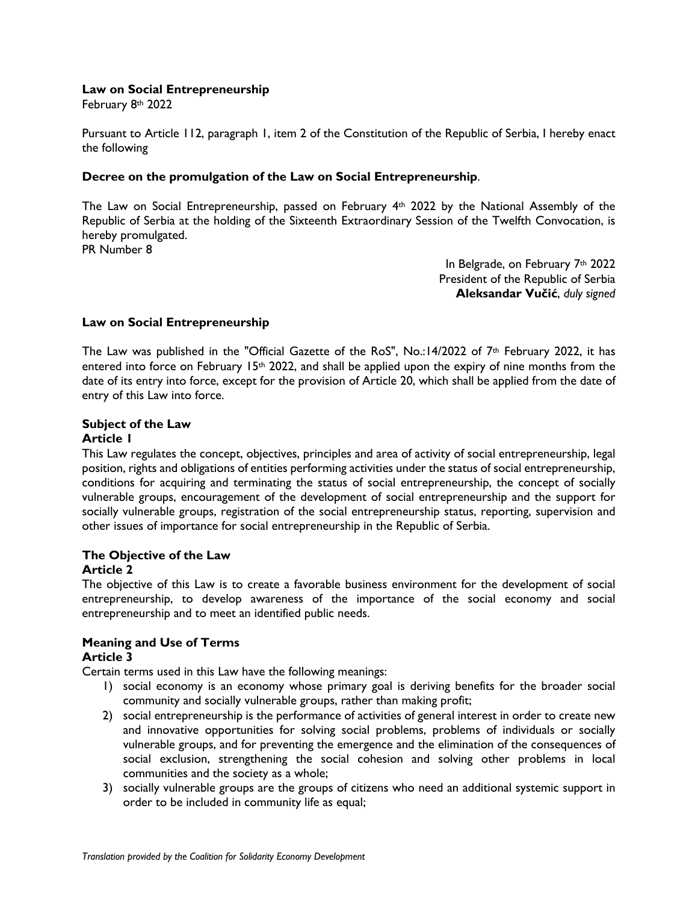#### **Law on Social Entrepreneurship**

February 8th 2022

Pursuant to Article 112, paragraph 1, item 2 of the Constitution of the Republic of Serbia, I hereby enact the following

#### **Decree on the promulgation of the Law on Social Entrepreneurship**.

The Law on Social Entrepreneurship, passed on February 4th 2022 by the National Assembly of the Republic of Serbia at the holding of the Sixteenth Extraordinary Session of the Twelfth Convocation, is hereby promulgated.

PR Number 8

In Belgrade, on February 7th 2022 President of the Republic of Serbia **Aleksandar Vučić**, *duly signed*

## **Law on Social Entrepreneurship**

The Law was published in the "Official Gazette of the RoS", No.:14/2022 of  $7<sup>th</sup>$  February 2022, it has entered into force on February 15th 2022, and shall be applied upon the expiry of nine months from the date of its entry into force, except for the provision of Article 20, which shall be applied from the date of entry of this Law into force.

# **Subject of the Law**

## **Article 1**

This Law regulates the concept, objectives, principles and area of activity of social entrepreneurship, legal position, rights and obligations of entities performing activities under the status of social entrepreneurship, conditions for acquiring and terminating the status of social entrepreneurship, the concept of socially vulnerable groups, encouragement of the development of social entrepreneurship and the support for socially vulnerable groups, registration of the social entrepreneurship status, reporting, supervision and other issues of importance for social entrepreneurship in the Republic of Serbia.

# **The Objective of the Law**

#### **Article 2**

The objective of this Law is to create a favorable business environment for the development of social entrepreneurship, to develop awareness of the importance of the social economy and social entrepreneurship and to meet an identified public needs.

#### **Meaning and Use of Terms Article 3**

Certain terms used in this Law have the following meanings:

- 1) social economy is an economy whose primary goal is deriving benefits for the broader social community and socially vulnerable groups, rather than making profit;
- 2) social entrepreneurship is the performance of activities of general interest in order to create new and innovative opportunities for solving social problems, problems of individuals or socially vulnerable groups, and for preventing the emergence and the elimination of the consequences of social exclusion, strengthening the social cohesion and solving other problems in local communities and the society as a whole;
- 3) socially vulnerable groups are the groups of citizens who need an additional systemic support in order to be included in community life as equal;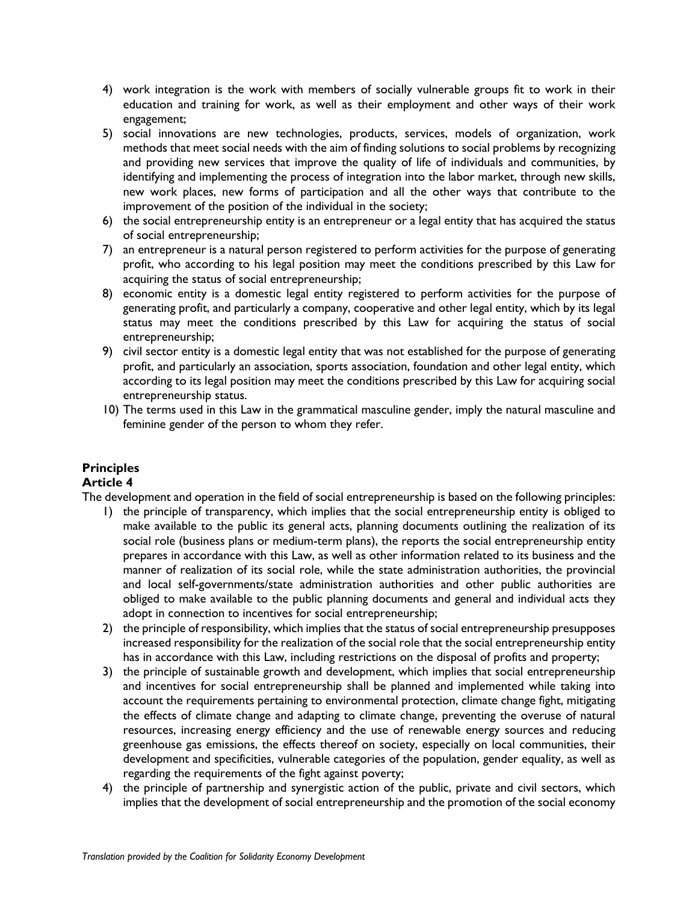- 4) work integration is the work with members of socially vulnerable groups fit to work in their education and training for work, as well as their employment and other ways of their work engagement;
- 5) social innovations are new technologies, products, services, models of organization, work methods that meet social needs with the aim of finding solutions to social problems by recognizing and providing new services that improve the quality of life of individuals and communities, by identifying and implementing the process of integration into the labor market, through new skills, new work places, new forms of participation and all the other ways that contribute to the improvement of the position of the individual in the society;
- 6) the social entrepreneurship entity is an entrepreneur or a legal entity that has acquired the status of social entrepreneurship;
- 7) an entrepreneur is a natural person registered to perform activities for the purpose of generating profit, who according to his legal position may meet the conditions prescribed by this Law for acquiring the status of social entrepreneurship;
- 8) economic entity is a domestic legal entity registered to perform activities for the purpose of generating profit, and particularly a company, cooperative and other legal entity, which by its legal status may meet the conditions prescribed by this Law for acquiring the status of social entrepreneurship;
- 9) civil sector entity is a domestic legal entity that was not established for the purpose of generating profit, and particularly an association, sports association, foundation and other legal entity, which according to its legal position may meet the conditions prescribed by this Law for acquiring social entrepreneurship status.
- 10) The terms used in this Law in the grammatical masculine gender, imply the natural masculine and feminine gender of the person to whom they refer.

## **Principles**

## **Article 4**

The development and operation in the field of social entrepreneurship is based on the following principles:

- 1) the principle of transparency, which implies that the social entrepreneurship entity is obliged to make available to the public its general acts, planning documents outlining the realization of its social role (business plans or medium-term plans), the reports the social entrepreneurship entity prepares in accordance with this Law, as well as other information related to its business and the manner of realization of its social role, while the state administration authorities, the provincial and local self-governments/state administration authorities and other public authorities are obliged to make available to the public planning documents and general and individual acts they adopt in connection to incentives for social entrepreneurship;
- 2) the principle of responsibility, which implies that the status of social entrepreneurship presupposes increased responsibility for the realization of the social role that the social entrepreneurship entity has in accordance with this Law, including restrictions on the disposal of profits and property;
- 3) the principle of sustainable growth and development, which implies that social entrepreneurship and incentives for social entrepreneurship shall be planned and implemented while taking into account the requirements pertaining to environmental protection, climate change fight, mitigating the effects of climate change and adapting to climate change, preventing the overuse of natural resources, increasing energy efficiency and the use of renewable energy sources and reducing greenhouse gas emissions, the effects thereof on society, especially on local communities, their development and specificities, vulnerable categories of the population, gender equality, as well as regarding the requirements of the fight against poverty;
- 4) the principle of partnership and synergistic action of the public, private and civil sectors, which implies that the development of social entrepreneurship and the promotion of the social economy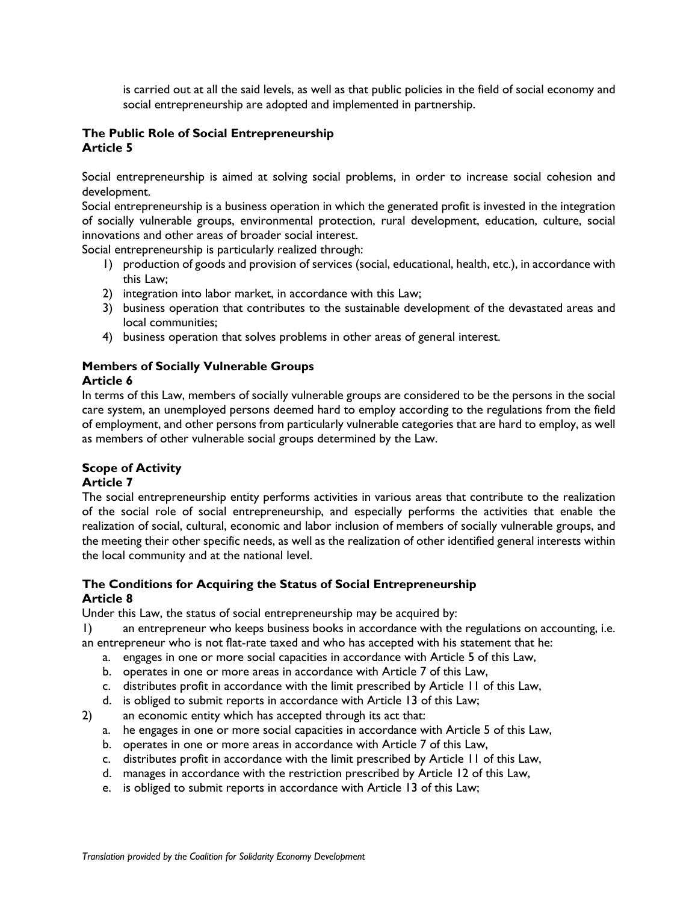is carried out at all the said levels, as well as that public policies in the field of social economy and social entrepreneurship are adopted and implemented in partnership.

### **The Public Role of Social Entrepreneurship Article 5**

Social entrepreneurship is aimed at solving social problems, in order to increase social cohesion and development.

Social entrepreneurship is a business operation in which the generated profit is invested in the integration of socially vulnerable groups, environmental protection, rural development, education, culture, social innovations and other areas of broader social interest.

Social entrepreneurship is particularly realized through:

- 1) production of goods and provision of services (social, educational, health, etc.), in accordance with this Law;
- 2) integration into labor market, in accordance with this Law;
- 3) business operation that contributes to the sustainable development of the devastated areas and local communities;
- 4) business operation that solves problems in other areas of general interest.

# **Members of Socially Vulnerable Groups**

## **Article 6**

In terms of this Law, members of socially vulnerable groups are considered to be the persons in the social care system, an unemployed persons deemed hard to employ according to the regulations from the field of employment, and other persons from particularly vulnerable categories that are hard to employ, as well as members of other vulnerable social groups determined by the Law.

## **Scope of Activity**

## **Article 7**

The social entrepreneurship entity performs activities in various areas that contribute to the realization of the social role of social entrepreneurship, and especially performs the activities that enable the realization of social, cultural, economic and labor inclusion of members of socially vulnerable groups, and the meeting their other specific needs, as well as the realization of other identified general interests within the local community and at the national level.

#### **The Conditions for Acquiring the Status of Social Entrepreneurship Article 8**

Under this Law, the status of social entrepreneurship may be acquired by:

1) an entrepreneur who keeps business books in accordance with the regulations on accounting, i.e. an entrepreneur who is not flat-rate taxed and who has accepted with his statement that he:

- a. engages in one or more social capacities in accordance with Article 5 of this Law,
- b. operates in one or more areas in accordance with Article 7 of this Law,
- c. distributes profit in accordance with the limit prescribed by Article 11 of this Law,
- d. is obliged to submit reports in accordance with Article 13 of this Law;
- 2) an economic entity which has accepted through its act that:
	- a. he engages in one or more social capacities in accordance with Article 5 of this Law,
	- b. operates in one or more areas in accordance with Article 7 of this Law,
	- c. distributes profit in accordance with the limit prescribed by Article 11 of this Law,
	- d. manages in accordance with the restriction prescribed by Article 12 of this Law,
	- e. is obliged to submit reports in accordance with Article 13 of this Law;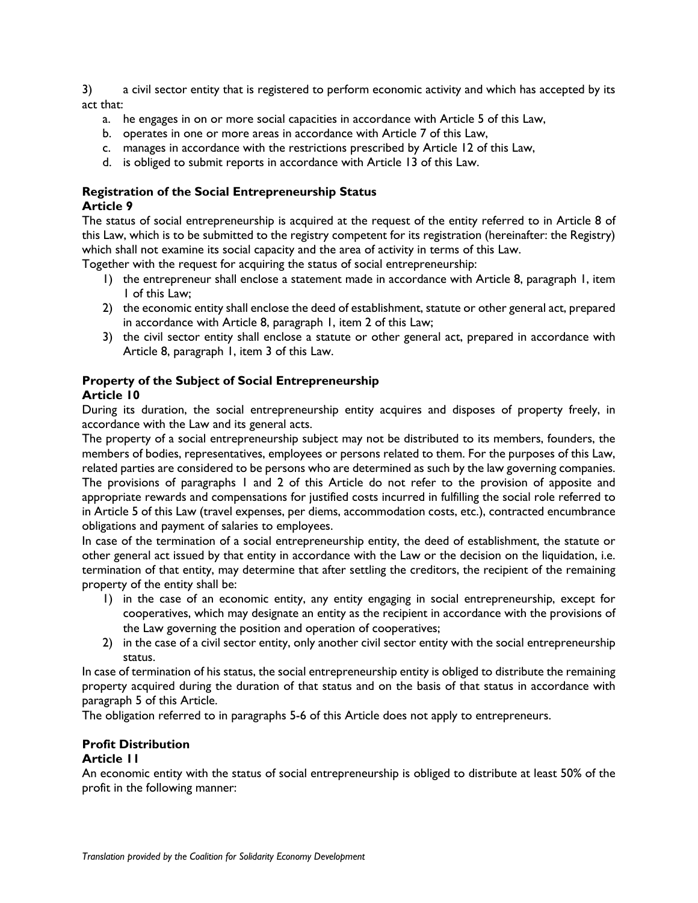3) a civil sector entity that is registered to perform economic activity and which has accepted by its act that:

- a. he engages in on or more social capacities in accordance with Article 5 of this Law,
- b. operates in one or more areas in accordance with Article 7 of this Law,
- c. manages in accordance with the restrictions prescribed by Article 12 of this Law,
- d. is obliged to submit reports in accordance with Article 13 of this Law.

#### **Registration of the Social Entrepreneurship Status Article 9**

The status of social entrepreneurship is acquired at the request of the entity referred to in Article 8 of this Law, which is to be submitted to the registry competent for its registration (hereinafter: the Registry) which shall not examine its social capacity and the area of activity in terms of this Law.

Together with the request for acquiring the status of social entrepreneurship:

- 1) the entrepreneur shall enclose a statement made in accordance with Article 8, paragraph 1, item 1 of this Law;
- 2) the economic entity shall enclose the deed of establishment, statute or other general act, prepared in accordance with Article 8, paragraph 1, item 2 of this Law;
- 3) the civil sector entity shall enclose a statute or other general act, prepared in accordance with Article 8, paragraph 1, item 3 of this Law.

#### **Property of the Subject of Social Entrepreneurship Article 10**

During its duration, the social entrepreneurship entity acquires and disposes of property freely, in accordance with the Law and its general acts.

The property of a social entrepreneurship subject may not be distributed to its members, founders, the members of bodies, representatives, employees or persons related to them. For the purposes of this Law, related parties are considered to be persons who are determined as such by the law governing companies. The provisions of paragraphs 1 and 2 of this Article do not refer to the provision of apposite and appropriate rewards and compensations for justified costs incurred in fulfilling the social role referred to in Article 5 of this Law (travel expenses, per diems, accommodation costs, etc.), contracted encumbrance obligations and payment of salaries to employees.

In case of the termination of a social entrepreneurship entity, the deed of establishment, the statute or other general act issued by that entity in accordance with the Law or the decision on the liquidation, i.e. termination of that entity, may determine that after settling the creditors, the recipient of the remaining property of the entity shall be:

- 1) in the case of an economic entity, any entity engaging in social entrepreneurship, except for cooperatives, which may designate an entity as the recipient in accordance with the provisions of the Law governing the position and operation of cooperatives;
- 2) in the case of a civil sector entity, only another civil sector entity with the social entrepreneurship status.

In case of termination of his status, the social entrepreneurship entity is obliged to distribute the remaining property acquired during the duration of that status and on the basis of that status in accordance with paragraph 5 of this Article.

The obligation referred to in paragraphs 5-6 of this Article does not apply to entrepreneurs.

#### **Profit Distribution**

#### **Article 11**

An economic entity with the status of social entrepreneurship is obliged to distribute at least 50% of the profit in the following manner: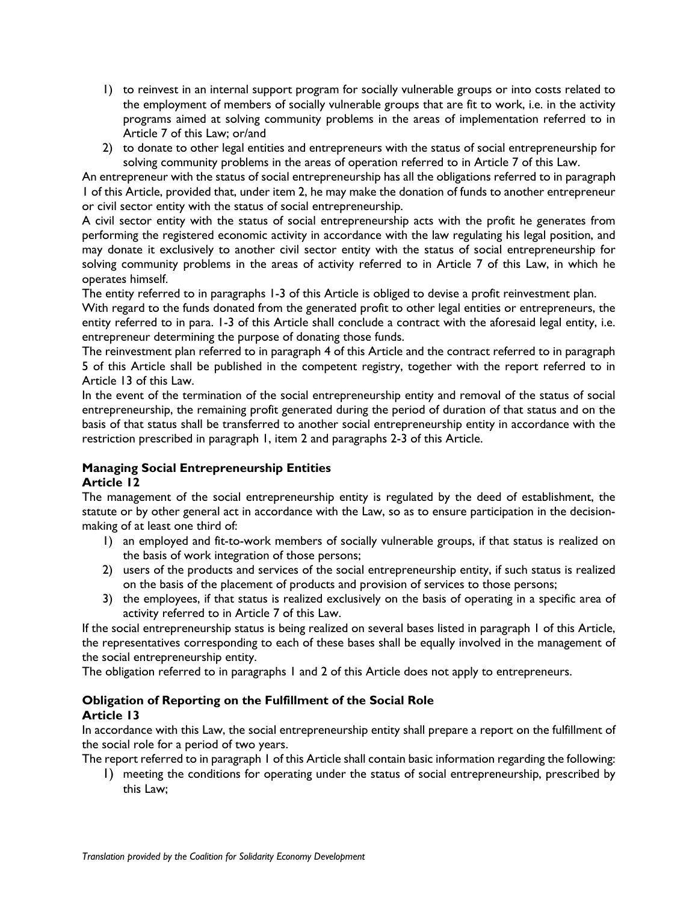- 1) to reinvest in an internal support program for socially vulnerable groups or into costs related to the employment of members of socially vulnerable groups that are fit to work, i.e. in the activity programs aimed at solving community problems in the areas of implementation referred to in Article 7 of this Law; or/and
- 2) to donate to other legal entities and entrepreneurs with the status of social entrepreneurship for solving community problems in the areas of operation referred to in Article 7 of this Law.

An entrepreneur with the status of social entrepreneurship has all the obligations referred to in paragraph 1 of this Article, provided that, under item 2, he may make the donation of funds to another entrepreneur or civil sector entity with the status of social entrepreneurship.

A civil sector entity with the status of social entrepreneurship acts with the profit he generates from performing the registered economic activity in accordance with the law regulating his legal position, and may donate it exclusively to another civil sector entity with the status of social entrepreneurship for solving community problems in the areas of activity referred to in Article 7 of this Law, in which he operates himself.

The entity referred to in paragraphs 1-3 of this Article is obliged to devise a profit reinvestment plan.

With regard to the funds donated from the generated profit to other legal entities or entrepreneurs, the entity referred to in para. 1-3 of this Article shall conclude a contract with the aforesaid legal entity, i.e. entrepreneur determining the purpose of donating those funds.

The reinvestment plan referred to in paragraph 4 of this Article and the contract referred to in paragraph 5 of this Article shall be published in the competent registry, together with the report referred to in Article 13 of this Law.

In the event of the termination of the social entrepreneurship entity and removal of the status of social entrepreneurship, the remaining profit generated during the period of duration of that status and on the basis of that status shall be transferred to another social entrepreneurship entity in accordance with the restriction prescribed in paragraph 1, item 2 and paragraphs 2-3 of this Article.

#### **Managing Social Entrepreneurship Entities Article 12**

The management of the social entrepreneurship entity is regulated by the deed of establishment, the statute or by other general act in accordance with the Law, so as to ensure participation in the decisionmaking of at least one third of:

- 1) an employed and fit-to-work members of socially vulnerable groups, if that status is realized on the basis of work integration of those persons;
- 2) users of the products and services of the social entrepreneurship entity, if such status is realized on the basis of the placement of products and provision of services to those persons;
- 3) the employees, if that status is realized exclusively on the basis of operating in a specific area of activity referred to in Article 7 of this Law.

If the social entrepreneurship status is being realized on several bases listed in paragraph 1 of this Article, the representatives corresponding to each of these bases shall be equally involved in the management of the social entrepreneurship entity.

The obligation referred to in paragraphs 1 and 2 of this Article does not apply to entrepreneurs.

## **Obligation of Reporting on the Fulfillment of the Social Role Article 13**

In accordance with this Law, the social entrepreneurship entity shall prepare a report on the fulfillment of the social role for a period of two years.

The report referred to in paragraph 1 of this Article shall contain basic information regarding the following:

1) meeting the conditions for operating under the status of social entrepreneurship, prescribed by this Law;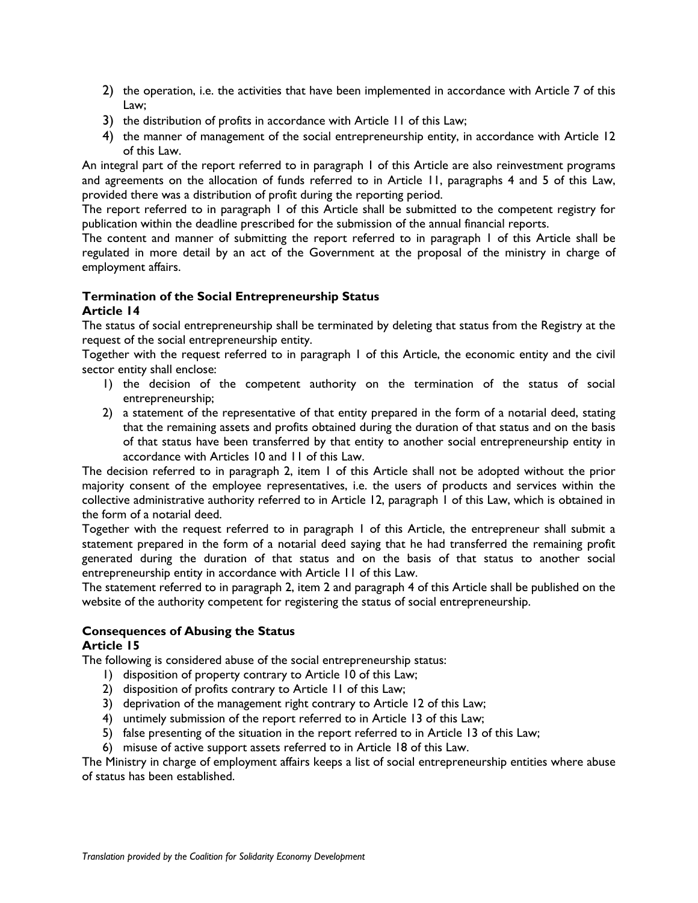- 2) the operation, i.e. the activities that have been implemented in accordance with Article 7 of this Law;
- 3) the distribution of profits in accordance with Article 11 of this Law;
- 4) the manner of management of the social entrepreneurship entity, in accordance with Article 12 of this Law.

An integral part of the report referred to in paragraph 1 of this Article are also reinvestment programs and agreements on the allocation of funds referred to in Article 11, paragraphs 4 and 5 of this Law, provided there was a distribution of profit during the reporting period.

The report referred to in paragraph 1 of this Article shall be submitted to the competent registry for publication within the deadline prescribed for the submission of the annual financial reports.

The content and manner of submitting the report referred to in paragraph 1 of this Article shall be regulated in more detail by an act of the Government at the proposal of the ministry in charge of employment affairs.

# **Termination of the Social Entrepreneurship Status**

#### **Article 14**

The status of social entrepreneurship shall be terminated by deleting that status from the Registry at the request of the social entrepreneurship entity.

Together with the request referred to in paragraph 1 of this Article, the economic entity and the civil sector entity shall enclose:

- 1) the decision of the competent authority on the termination of the status of social entrepreneurship;
- 2) a statement of the representative of that entity prepared in the form of a notarial deed, stating that the remaining assets and profits obtained during the duration of that status and on the basis of that status have been transferred by that entity to another social entrepreneurship entity in accordance with Articles 10 and 11 of this Law.

The decision referred to in paragraph 2, item 1 of this Article shall not be adopted without the prior majority consent of the employee representatives, i.e. the users of products and services within the collective administrative authority referred to in Article 12, paragraph 1 of this Law, which is obtained in the form of a notarial deed.

Together with the request referred to in paragraph 1 of this Article, the entrepreneur shall submit a statement prepared in the form of a notarial deed saying that he had transferred the remaining profit generated during the duration of that status and on the basis of that status to another social entrepreneurship entity in accordance with Article 11 of this Law.

The statement referred to in paragraph 2, item 2 and paragraph 4 of this Article shall be published on the website of the authority competent for registering the status of social entrepreneurship.

## **Consequences of Abusing the Status**

## **Article 15**

The following is considered abuse of the social entrepreneurship status:

- 1) disposition of property contrary to Article 10 of this Law;
- 2) disposition of profits contrary to Article 11 of this Law;
- 3) deprivation of the management right contrary to Article 12 of this Law;
- 4) untimely submission of the report referred to in Article 13 of this Law;
- 5) false presenting of the situation in the report referred to in Article 13 of this Law;
- 6) misuse of active support assets referred to in Article 18 of this Law.

The Ministry in charge of employment affairs keeps a list of social entrepreneurship entities where abuse of status has been established.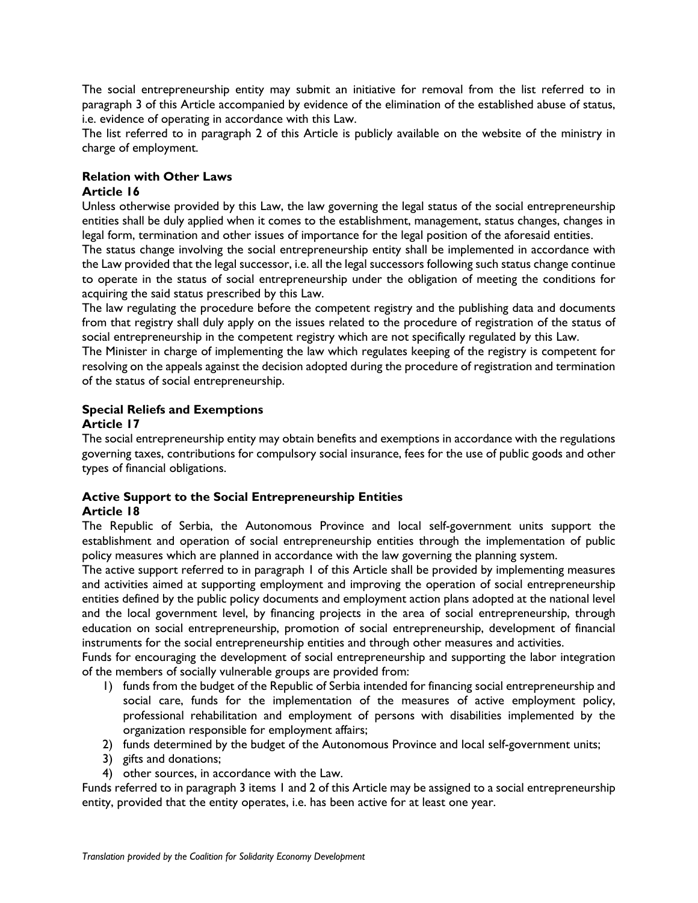The social entrepreneurship entity may submit an initiative for removal from the list referred to in paragraph 3 of this Article accompanied by evidence of the elimination of the established abuse of status, i.e. evidence of operating in accordance with this Law.

The list referred to in paragraph 2 of this Article is publicly available on the website of the ministry in charge of employment.

# **Relation with Other Laws**

### **Article 16**

Unless otherwise provided by this Law, the law governing the legal status of the social entrepreneurship entities shall be duly applied when it comes to the establishment, management, status changes, changes in legal form, termination and other issues of importance for the legal position of the aforesaid entities.

The status change involving the social entrepreneurship entity shall be implemented in accordance with the Law provided that the legal successor, i.e. all the legal successors following such status change continue to operate in the status of social entrepreneurship under the obligation of meeting the conditions for acquiring the said status prescribed by this Law.

The law regulating the procedure before the competent registry and the publishing data and documents from that registry shall duly apply on the issues related to the procedure of registration of the status of social entrepreneurship in the competent registry which are not specifically regulated by this Law.

The Minister in charge of implementing the law which regulates keeping of the registry is competent for resolving on the appeals against the decision adopted during the procedure of registration and termination of the status of social entrepreneurship.

## **Special Reliefs and Exemptions**

## **Article 17**

The social entrepreneurship entity may obtain benefits and exemptions in accordance with the regulations governing taxes, contributions for compulsory social insurance, fees for the use of public goods and other types of financial obligations.

#### **Active Support to the Social Entrepreneurship Entities Article 18**

The Republic of Serbia, the Autonomous Province and local self-government units support the establishment and operation of social entrepreneurship entities through the implementation of public policy measures which are planned in accordance with the law governing the planning system.

The active support referred to in paragraph 1 of this Article shall be provided by implementing measures and activities aimed at supporting employment and improving the operation of social entrepreneurship entities defined by the public policy documents and employment action plans adopted at the national level and the local government level, by financing projects in the area of social entrepreneurship, through education on social entrepreneurship, promotion of social entrepreneurship, development of financial instruments for the social entrepreneurship entities and through other measures and activities.

Funds for encouraging the development of social entrepreneurship and supporting the labor integration of the members of socially vulnerable groups are provided from:

- 1) funds from the budget of the Republic of Serbia intended for financing social entrepreneurship and social care, funds for the implementation of the measures of active employment policy, professional rehabilitation and employment of persons with disabilities implemented by the organization responsible for employment affairs;
- 2) funds determined by the budget of the Autonomous Province and local self-government units;
- 3) gifts and donations;
- 4) other sources, in accordance with the Law.

Funds referred to in paragraph 3 items 1 and 2 of this Article may be assigned to a social entrepreneurship entity, provided that the entity operates, i.e. has been active for at least one year.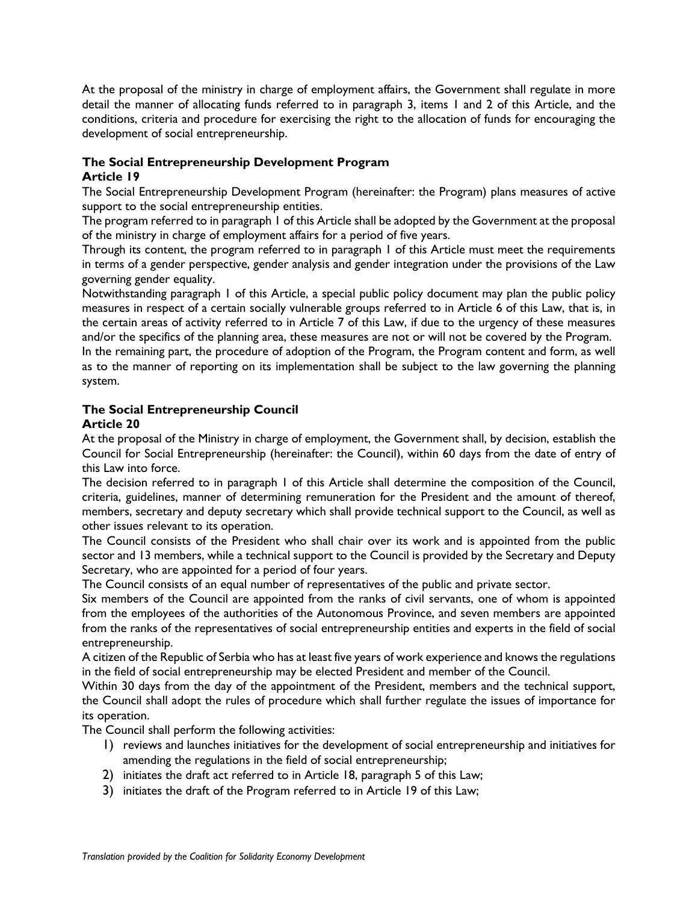At the proposal of the ministry in charge of employment affairs, the Government shall regulate in more detail the manner of allocating funds referred to in paragraph 3, items 1 and 2 of this Article, and the conditions, criteria and procedure for exercising the right to the allocation of funds for encouraging the development of social entrepreneurship.

#### **The Social Entrepreneurship Development Program Article 19**

The Social Entrepreneurship Development Program (hereinafter: the Program) plans measures of active support to the social entrepreneurship entities.

The program referred to in paragraph 1 of this Article shall be adopted by the Government at the proposal of the ministry in charge of employment affairs for a period of five years.

Through its content, the program referred to in paragraph 1 of this Article must meet the requirements in terms of a gender perspective, gender analysis and gender integration under the provisions of the Law governing gender equality.

Notwithstanding paragraph 1 of this Article, a special public policy document may plan the public policy measures in respect of a certain socially vulnerable groups referred to in Article 6 of this Law, that is, in the certain areas of activity referred to in Article 7 of this Law, if due to the urgency of these measures and/or the specifics of the planning area, these measures are not or will not be covered by the Program.

In the remaining part, the procedure of adoption of the Program, the Program content and form, as well as to the manner of reporting on its implementation shall be subject to the law governing the planning system.

#### **The Social Entrepreneurship Council Article 20**

At the proposal of the Ministry in charge of employment, the Government shall, by decision, establish the Council for Social Entrepreneurship (hereinafter: the Council), within 60 days from the date of entry of this Law into force.

The decision referred to in paragraph 1 of this Article shall determine the composition of the Council, criteria, guidelines, manner of determining remuneration for the President and the amount of thereof, members, secretary and deputy secretary which shall provide technical support to the Council, as well as other issues relevant to its operation.

The Council consists of the President who shall chair over its work and is appointed from the public sector and 13 members, while a technical support to the Council is provided by the Secretary and Deputy Secretary, who are appointed for a period of four years.

The Council consists of an equal number of representatives of the public and private sector.

Six members of the Council are appointed from the ranks of civil servants, one of whom is appointed from the employees of the authorities of the Autonomous Province, and seven members are appointed from the ranks of the representatives of social entrepreneurship entities and experts in the field of social entrepreneurship.

A citizen of the Republic of Serbia who has at least five years of work experience and knows the regulations in the field of social entrepreneurship may be elected President and member of the Council.

Within 30 days from the day of the appointment of the President, members and the technical support, the Council shall adopt the rules of procedure which shall further regulate the issues of importance for its operation.

The Council shall perform the following activities:

- 1) reviews and launches initiatives for the development of social entrepreneurship and initiatives for amending the regulations in the field of social entrepreneurship;
- 2) initiates the draft act referred to in Article 18, paragraph 5 of this Law;
- 3) initiates the draft of the Program referred to in Article 19 of this Law;